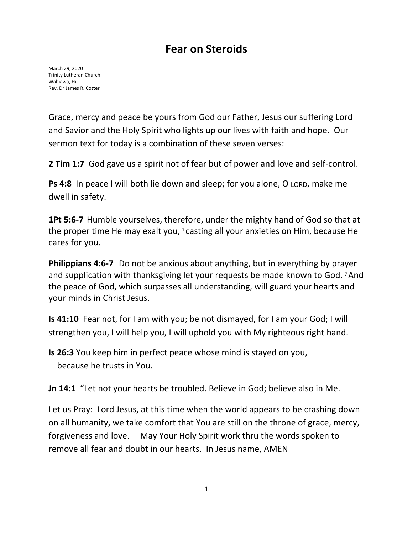## **Fear on Steroids**

March 29, 2020 Trinity Lutheran Church Wahiawa, Hi Rev. Dr James R. Cotter

Grace, mercy and peace be yours from God our Father, Jesus our suffering Lord and Savior and the Holy Spirit who lights up our lives with faith and hope. Our sermon text for today is a combination of these seven verses:

**2 Tim 1:7** God gave us a spirit not of fear but of power and love and self-control.

**Ps 4:8** In peace I will both lie down and sleep; for you alone, O LORD, make me dwell in safety.

**1Pt 5:6-7** Humble yourselves, therefore, under the mighty hand of God so that at the proper time He may exalt you, <sup>7</sup> casting all your anxieties on Him, because He cares for you.

**Philippians 4:6-7** Do not be anxious about anything, but in everything by prayer and supplication with thanksgiving let your requests be made known to God. 7 And the peace of God, which surpasses all understanding, will guard your hearts and your minds in Christ Jesus.

**Is 41:10** Fear not, for I am with you; be not dismayed, for I am your God; I will strengthen you, I will help you, I will uphold you with My righteous right hand.

**Is 26:3** You keep him in perfect peace whose mind is stayed on you, because he trusts in You.

**Jn 14:1** "Let not your hearts be troubled. Believe in God; believe also in Me.

Let us Pray: Lord Jesus, at this time when the world appears to be crashing down on all humanity, we take comfort that You are still on the throne of grace, mercy, forgiveness and love. May Your Holy Spirit work thru the words spoken to remove all fear and doubt in our hearts. In Jesus name, AMEN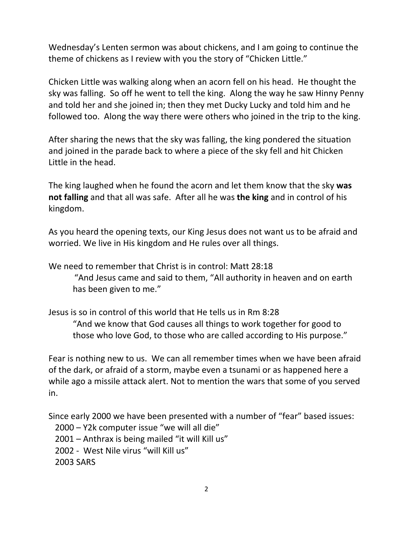Wednesday's Lenten sermon was about chickens, and I am going to continue the theme of chickens as I review with you the story of "Chicken Little."

Chicken Little was walking along when an acorn fell on his head. He thought the sky was falling. So off he went to tell the king. Along the way he saw Hinny Penny and told her and she joined in; then they met Ducky Lucky and told him and he followed too. Along the way there were others who joined in the trip to the king.

After sharing the news that the sky was falling, the king pondered the situation and joined in the parade back to where a piece of the sky fell and hit Chicken Little in the head.

The king laughed when he found the acorn and let them know that the sky **was not falling** and that all was safe. After all he was **the king** and in control of his kingdom.

As you heard the opening texts, our King Jesus does not want us to be afraid and worried. We live in His kingdom and He rules over all things.

We need to remember that Christ is in control: Matt 28:18

"And Jesus came and said to them, "All authority in heaven and on earth has been given to me."

Jesus is so in control of this world that He tells us in Rm 8:28 "And we know that God causes all things to work together for good to those who love God, to those who are called according to His purpose."

Fear is nothing new to us. We can all remember times when we have been afraid of the dark, or afraid of a storm, maybe even a tsunami or as happened here a while ago a missile attack alert. Not to mention the wars that some of you served in.

Since early 2000 we have been presented with a number of "fear" based issues: 2000 – Y2k computer issue "we will all die" 2001 – Anthrax is being mailed "it will Kill us" 2002 - West Nile virus "will Kill us" 2003 SARS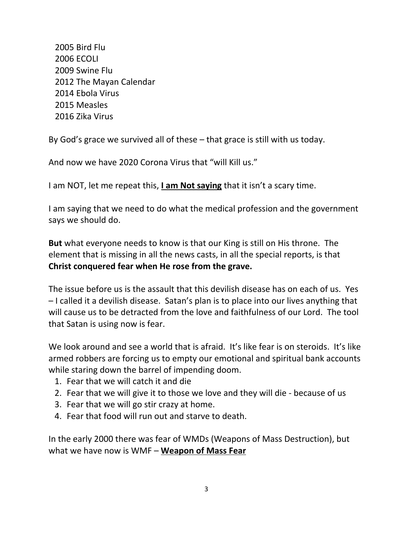2005 Bird Flu 2006 ECOLI 2009 Swine Flu 2012 The Mayan Calendar 2014 Ebola Virus 2015 Measles 2016 Zika Virus

By God's grace we survived all of these – that grace is still with us today.

And now we have 2020 Corona Virus that "will Kill us."

I am NOT, let me repeat this, **I am Not saying** that it isn't a scary time.

I am saying that we need to do what the medical profession and the government says we should do.

**But** what everyone needs to know is that our King is still on His throne. The element that is missing in all the news casts, in all the special reports, is that **Christ conquered fear when He rose from the grave.** 

The issue before us is the assault that this devilish disease has on each of us. Yes – I called it a devilish disease. Satan's plan is to place into our lives anything that will cause us to be detracted from the love and faithfulness of our Lord. The tool that Satan is using now is fear.

We look around and see a world that is afraid. It's like fear is on steroids. It's like armed robbers are forcing us to empty our emotional and spiritual bank accounts while staring down the barrel of impending doom.

- 1. Fear that we will catch it and die
- 2. Fear that we will give it to those we love and they will die because of us
- 3. Fear that we will go stir crazy at home.
- 4. Fear that food will run out and starve to death.

In the early 2000 there was fear of WMDs (Weapons of Mass Destruction), but what we have now is WMF – **Weapon of Mass Fear**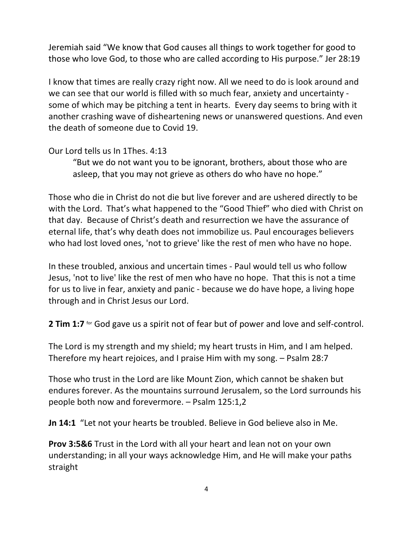Jeremiah said "We know that God causes all things to work together for good to those who love God, to those who are called according to His purpose." Jer 28:19

I know that times are really crazy right now. All we need to do is look around and we can see that our world is filled with so much fear, anxiety and uncertainty some of which may be pitching a tent in hearts. Every day seems to bring with it another crashing wave of disheartening news or unanswered questions. And even the death of someone due to Covid 19.

Our Lord tells us In 1Thes. 4:13

"But we do not want you to be ignorant, brothers, about those who are asleep, that you may not grieve as others do who have no hope."

Those who die in Christ do not die but live forever and are ushered directly to be with the Lord. That's what happened to the "Good Thief" who died with Christ on that day. Because of Christ's death and resurrection we have the assurance of eternal life, that's why death does not immobilize us. Paul encourages believers who had lost loved ones, 'not to grieve' like the rest of men who have no hope.

In these troubled, anxious and uncertain times - Paul would tell us who follow Jesus, 'not to live' like the rest of men who have no hope. That this is not a time for us to live in fear, anxiety and panic - because we do have hope, a living hope through and in Christ Jesus our Lord.

**2 Tim 1:7** for God gave us a spirit not of fear but of power and love and self-control.

The Lord is my strength and my shield; my heart trusts in Him, and I am helped. Therefore my heart rejoices, and I praise Him with my song. – Psalm 28:7

Those who trust in the Lord are like Mount Zion, which cannot be shaken but endures forever. As the mountains surround Jerusalem, so the Lord surrounds his people both now and forevermore. – Psalm 125:1,2

**Jn 14:1** "Let not your hearts be troubled. Believe in God believe also in Me.

**Prov 3:5&6** Trust in the Lord with all your heart and lean not on your own understanding; in all your ways acknowledge Him, and He will make your paths straight